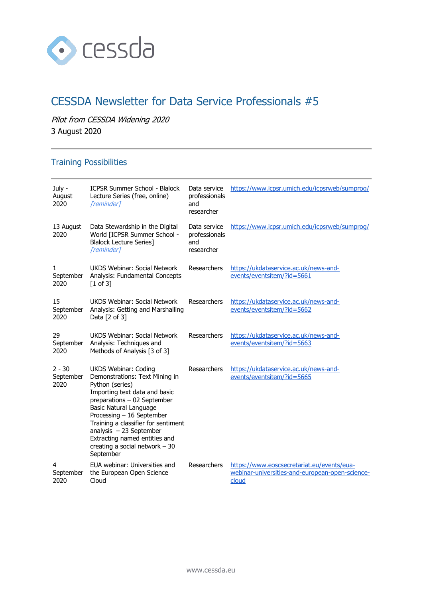

# CESSDA Newsletter for Data Service Professionals #5

Pilot from CESSDA Widening 2020

3 August 2020

# Training Possibilities

| July -<br>August<br>2020      | <b>ICPSR Summer School - Blalock</b><br>Lecture Series (free, online)<br>[reminder]                                                                                                                                                                                                                                                                                | Data service<br>professionals<br>and<br>researcher | https://www.icpsr.umich.edu/icpsrweb/sumproq/                                                          |
|-------------------------------|--------------------------------------------------------------------------------------------------------------------------------------------------------------------------------------------------------------------------------------------------------------------------------------------------------------------------------------------------------------------|----------------------------------------------------|--------------------------------------------------------------------------------------------------------|
| 13 August<br>2020             | Data Stewardship in the Digital<br>World [ICPSR Summer School -<br><b>Blalock Lecture Series]</b><br>[reminder]                                                                                                                                                                                                                                                    | Data service<br>professionals<br>and<br>researcher | https://www.icpsr.umich.edu/icpsrweb/sumprog/                                                          |
| 1<br>September<br>2020        | UKDS Webinar: Social Network<br>Analysis: Fundamental Concepts<br>$[1 \text{ of } 3]$                                                                                                                                                                                                                                                                              | Researchers                                        | https://ukdataservice.ac.uk/news-and-<br>events/eventsitem/?id=5661                                    |
| 15<br>September<br>2020       | <b>UKDS Webinar: Social Network</b><br>Analysis: Getting and Marshalling<br>Data $[2 \text{ of } 3]$                                                                                                                                                                                                                                                               | Researchers                                        | https://ukdataservice.ac.uk/news-and-<br>events/eventsitem/?id=5662                                    |
| 29<br>September<br>2020       | <b>UKDS Webinar: Social Network</b><br>Analysis: Techniques and<br>Methods of Analysis [3 of 3]                                                                                                                                                                                                                                                                    | Researchers                                        | https://ukdataservice.ac.uk/news-and-<br>events/eventsitem/?id=5663                                    |
| $2 - 30$<br>September<br>2020 | <b>UKDS Webinar: Coding</b><br>Demonstrations: Text Mining in<br>Python (series)<br>Importing text data and basic<br>preparations - 02 September<br><b>Basic Natural Language</b><br>Processing - 16 September<br>Training a classifier for sentiment<br>analysis $-23$ September<br>Extracting named entities and<br>creating a social network $-30$<br>September | Researchers                                        | https://ukdataservice.ac.uk/news-and-<br>events/eventsitem/?id=5665                                    |
| 4<br>September<br>2020        | EUA webinar: Universities and<br>the European Open Science<br>Cloud                                                                                                                                                                                                                                                                                                | Researchers                                        | https://www.eoscsecretariat.eu/events/eua-<br>webinar-universities-and-european-open-science-<br>cloud |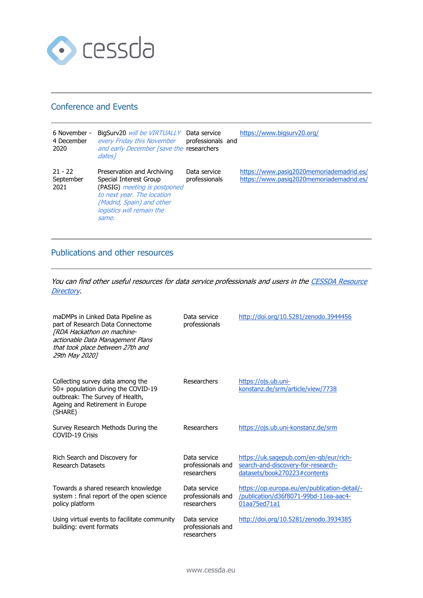

### Conference and Events

| 6 November -<br>4 December<br>2020 | BigSurv20 will be VIRTUALLY Data service<br>every Friday this November<br>and early December [save the researchers<br>dates <sub>1</sub>                                              | professionals and             | https://www.bigsurv20.org/                                                           |
|------------------------------------|---------------------------------------------------------------------------------------------------------------------------------------------------------------------------------------|-------------------------------|--------------------------------------------------------------------------------------|
| $21 - 22$<br>September<br>2021     | Preservation and Archiving<br>Special Interest Group<br>(PASIG) meeting is postponed<br>to next year. The location<br>(Madrid, Spain) and other<br>logistics will remain the<br>same. | Data service<br>professionals | https://www.pasiq2020memoriademadrid.es/<br>https://www.pasiq2020memoriademadrid.es/ |

## Publications and other resources

You can find other useful resources for data service professionals and users in the CESSDA Resource [Directory.](https://www.zotero.org/groups/2382601/cessda_resource_directory/library)

| maDMPs in Linked Data Pipeline as<br>part of Research Data Connectome<br>[RDA Hackathon on machine-<br>actionable Data Management Plans<br>that took place between 27th and<br>29th May 20201 | Data service<br>professionals                    | http://doi.org/10.5281/zenodo.3944456                                                                        |
|-----------------------------------------------------------------------------------------------------------------------------------------------------------------------------------------------|--------------------------------------------------|--------------------------------------------------------------------------------------------------------------|
| Collecting survey data among the<br>50+ population during the COVID-19<br>outbreak: The Survey of Health,<br>Ageing and Retirement in Europe<br>(SHARE)                                       | Researchers                                      | https://ojs.ub.uni-<br>konstanz.de/srm/article/view/7738                                                     |
| Survey Research Methods During the<br>COVID-19 Crisis                                                                                                                                         | Researchers                                      | https://ojs.ub.uni-konstanz.de/srm                                                                           |
| Rich Search and Discovery for<br><b>Research Datasets</b>                                                                                                                                     | Data service<br>professionals and<br>researchers | https://uk.sagepub.com/en-gb/eur/rich-<br>search-and-discovery-for-research-<br>datasets/book270223#contents |
| Towards a shared research knowledge<br>system: final report of the open science<br>policy platform                                                                                            | Data service<br>professionals and<br>researchers | https://op.europa.eu/en/publication-detail/-<br>/publication/d36f8071-99bd-11ea-aac4-<br>01aa75ed71a1        |
| Using virtual events to facilitate community<br>building: event formats                                                                                                                       | Data service<br>professionals and<br>researchers | http://doi.org/10.5281/zenodo.3934385                                                                        |